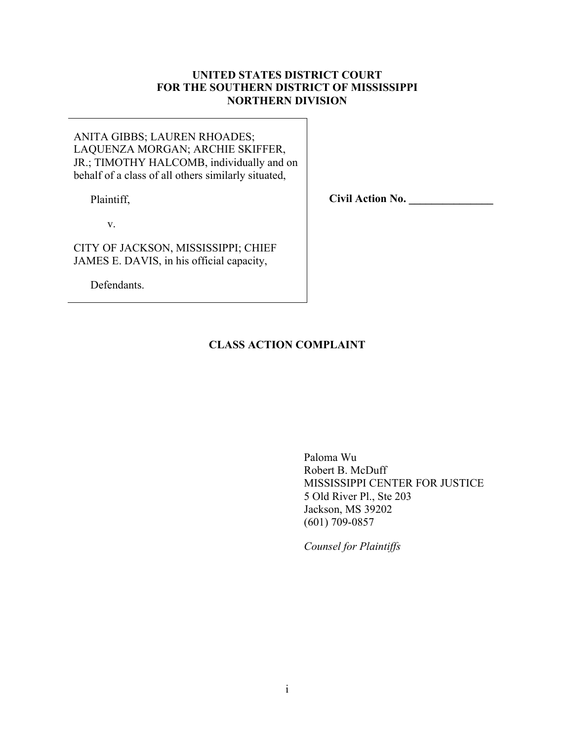# **UNITED STATES DISTRICT COURT FOR THE SOUTHERN DISTRICT OF MISSISSIPPI NORTHERN DIVISION**

ANITA GIBBS; LAUREN RHOADES; LAQUENZA MORGAN; ARCHIE SKIFFER, JR.; TIMOTHY HALCOMB, individually and on behalf of a class of all others similarly situated,

Plaintiff,

**Civil Action No. \_\_\_\_\_\_\_\_\_\_\_\_\_\_\_**

v.

CITY OF JACKSON, MISSISSIPPI; CHIEF JAMES E. DAVIS, in his official capacity,

Defendants.

# **CLASS ACTION COMPLAINT**

Paloma Wu Robert B. McDuff MISSISSIPPI CENTER FOR JUSTICE 5 Old River Pl., Ste 203 Jackson, MS 39202 (601) 709-0857

*Counsel for Plaintiffs*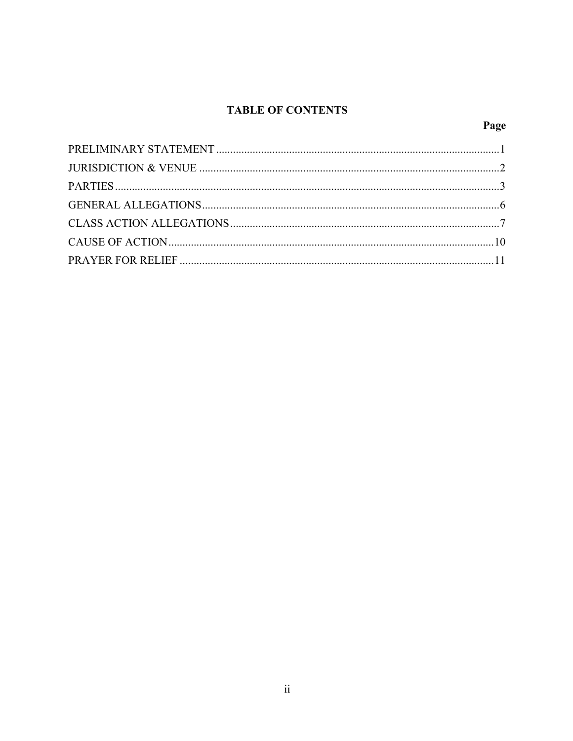# **TABLE OF CONTENTS**

# Page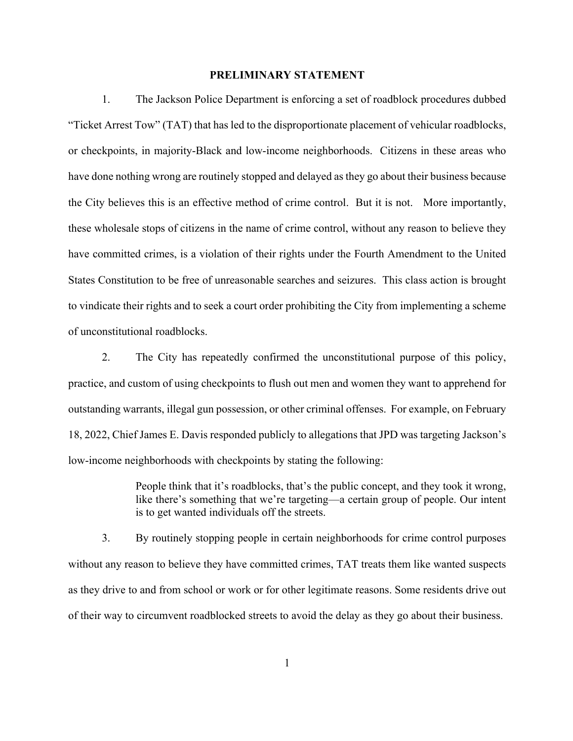#### **PRELIMINARY STATEMENT**

1. The Jackson Police Department is enforcing a set of roadblock procedures dubbed "Ticket Arrest Tow" (TAT) that has led to the disproportionate placement of vehicular roadblocks, or checkpoints, in majority-Black and low-income neighborhoods. Citizens in these areas who have done nothing wrong are routinely stopped and delayed as they go about their business because the City believes this is an effective method of crime control. But it is not. More importantly, these wholesale stops of citizens in the name of crime control, without any reason to believe they have committed crimes, is a violation of their rights under the Fourth Amendment to the United States Constitution to be free of unreasonable searches and seizures. This class action is brought to vindicate their rights and to seek a court order prohibiting the City from implementing a scheme of unconstitutional roadblocks.

2. The City has repeatedly confirmed the unconstitutional purpose of this policy, practice, and custom of using checkpoints to flush out men and women they want to apprehend for outstanding warrants, illegal gun possession, or other criminal offenses. For example, on February 18, 2022, Chief James E. Davis responded publicly to allegations that JPD was targeting Jackson's low-income neighborhoods with checkpoints by stating the following:

> People think that it's roadblocks, that's the public concept, and they took it wrong, like there's something that we're targeting—a certain group of people. Our intent is to get wanted individuals off the streets.

3. By routinely stopping people in certain neighborhoods for crime control purposes without any reason to believe they have committed crimes, TAT treats them like wanted suspects as they drive to and from school or work or for other legitimate reasons. Some residents drive out of their way to circumvent roadblocked streets to avoid the delay as they go about their business.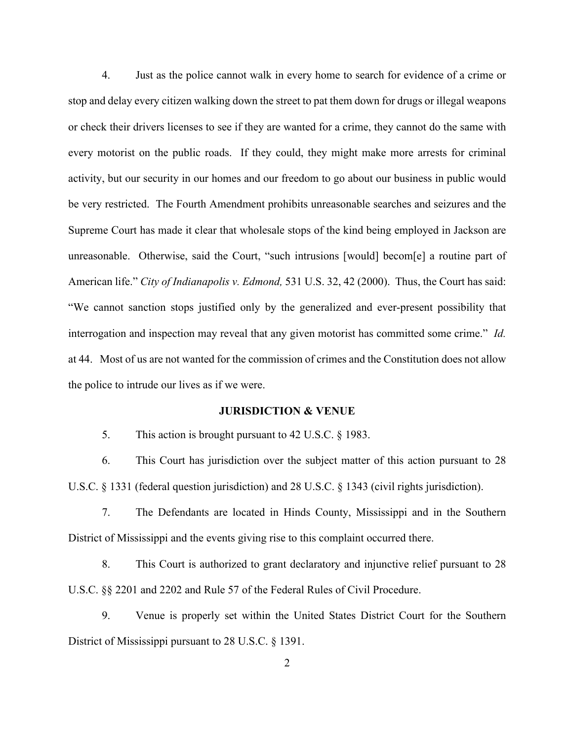4. Just as the police cannot walk in every home to search for evidence of a crime or stop and delay every citizen walking down the street to pat them down for drugs or illegal weapons or check their drivers licenses to see if they are wanted for a crime, they cannot do the same with every motorist on the public roads. If they could, they might make more arrests for criminal activity, but our security in our homes and our freedom to go about our business in public would be very restricted. The Fourth Amendment prohibits unreasonable searches and seizures and the Supreme Court has made it clear that wholesale stops of the kind being employed in Jackson are unreasonable. Otherwise, said the Court, "such intrusions [would] becom[e] a routine part of American life." *City of Indianapolis v. Edmond,* 531 U.S. 32, 42 (2000). Thus, the Court has said: "We cannot sanction stops justified only by the generalized and ever-present possibility that interrogation and inspection may reveal that any given motorist has committed some crime." *Id.*  at 44. Most of us are not wanted for the commission of crimes and the Constitution does not allow the police to intrude our lives as if we were.

#### **JURISDICTION & VENUE**

5. This action is brought pursuant to 42 U.S.C. § 1983.

6. This Court has jurisdiction over the subject matter of this action pursuant to 28 U.S.C. § 1331 (federal question jurisdiction) and 28 U.S.C. § 1343 (civil rights jurisdiction).

7. The Defendants are located in Hinds County, Mississippi and in the Southern District of Mississippi and the events giving rise to this complaint occurred there.

8. This Court is authorized to grant declaratory and injunctive relief pursuant to 28 U.S.C. §§ 2201 and 2202 and Rule 57 of the Federal Rules of Civil Procedure.

9. Venue is properly set within the United States District Court for the Southern District of Mississippi pursuant to 28 U.S.C. § 1391.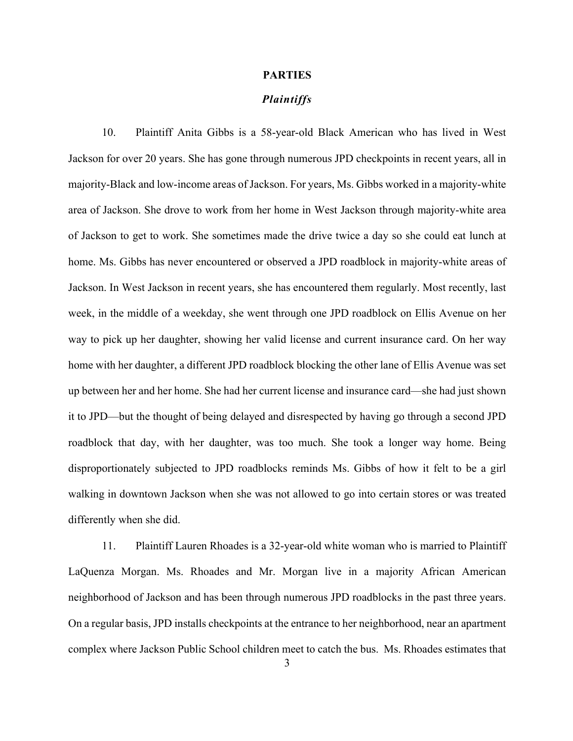#### **PARTIES**

#### *Plaintiffs*

10. Plaintiff Anita Gibbs is a 58-year-old Black American who has lived in West Jackson for over 20 years. She has gone through numerous JPD checkpoints in recent years, all in majority-Black and low-income areas of Jackson. For years, Ms. Gibbs worked in a majority-white area of Jackson. She drove to work from her home in West Jackson through majority-white area of Jackson to get to work. She sometimes made the drive twice a day so she could eat lunch at home. Ms. Gibbs has never encountered or observed a JPD roadblock in majority-white areas of Jackson. In West Jackson in recent years, she has encountered them regularly. Most recently, last week, in the middle of a weekday, she went through one JPD roadblock on Ellis Avenue on her way to pick up her daughter, showing her valid license and current insurance card. On her way home with her daughter, a different JPD roadblock blocking the other lane of Ellis Avenue was set up between her and her home. She had her current license and insurance card—she had just shown it to JPD—but the thought of being delayed and disrespected by having go through a second JPD roadblock that day, with her daughter, was too much. She took a longer way home. Being disproportionately subjected to JPD roadblocks reminds Ms. Gibbs of how it felt to be a girl walking in downtown Jackson when she was not allowed to go into certain stores or was treated differently when she did.

11. Plaintiff Lauren Rhoades is a 32-year-old white woman who is married to Plaintiff LaQuenza Morgan. Ms. Rhoades and Mr. Morgan live in a majority African American neighborhood of Jackson and has been through numerous JPD roadblocks in the past three years. On a regular basis, JPD installs checkpoints at the entrance to her neighborhood, near an apartment complex where Jackson Public School children meet to catch the bus. Ms. Rhoades estimates that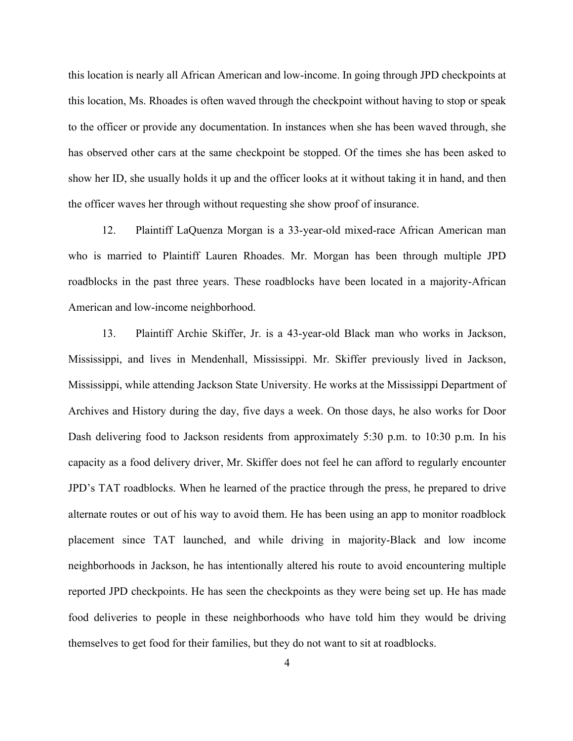this location is nearly all African American and low-income. In going through JPD checkpoints at this location, Ms. Rhoades is often waved through the checkpoint without having to stop or speak to the officer or provide any documentation. In instances when she has been waved through, she has observed other cars at the same checkpoint be stopped. Of the times she has been asked to show her ID, she usually holds it up and the officer looks at it without taking it in hand, and then the officer waves her through without requesting she show proof of insurance.

12. Plaintiff LaQuenza Morgan is a 33-year-old mixed-race African American man who is married to Plaintiff Lauren Rhoades. Mr. Morgan has been through multiple JPD roadblocks in the past three years. These roadblocks have been located in a majority-African American and low-income neighborhood.

13. Plaintiff Archie Skiffer, Jr. is a 43-year-old Black man who works in Jackson, Mississippi, and lives in Mendenhall, Mississippi. Mr. Skiffer previously lived in Jackson, Mississippi, while attending Jackson State University. He works at the Mississippi Department of Archives and History during the day, five days a week. On those days, he also works for Door Dash delivering food to Jackson residents from approximately 5:30 p.m. to 10:30 p.m. In his capacity as a food delivery driver, Mr. Skiffer does not feel he can afford to regularly encounter JPD's TAT roadblocks. When he learned of the practice through the press, he prepared to drive alternate routes or out of his way to avoid them. He has been using an app to monitor roadblock placement since TAT launched, and while driving in majority-Black and low income neighborhoods in Jackson, he has intentionally altered his route to avoid encountering multiple reported JPD checkpoints. He has seen the checkpoints as they were being set up. He has made food deliveries to people in these neighborhoods who have told him they would be driving themselves to get food for their families, but they do not want to sit at roadblocks.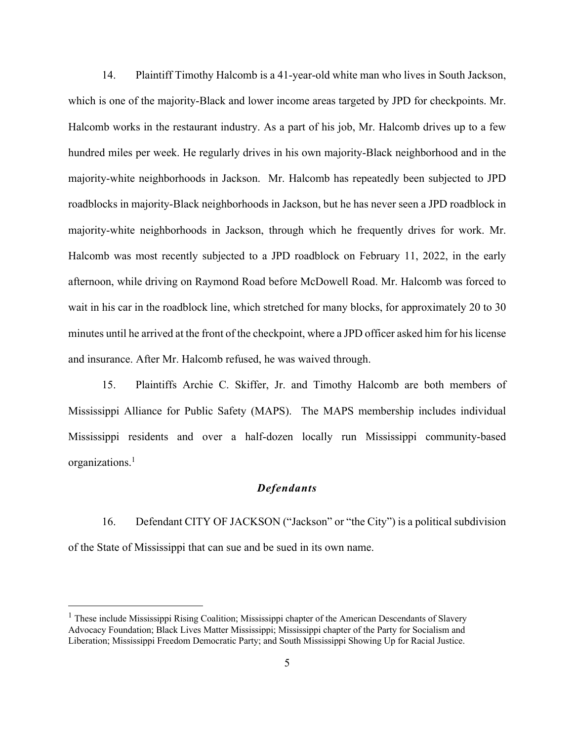14. Plaintiff Timothy Halcomb is a 41-year-old white man who lives in South Jackson, which is one of the majority-Black and lower income areas targeted by JPD for checkpoints. Mr. Halcomb works in the restaurant industry. As a part of his job, Mr. Halcomb drives up to a few hundred miles per week. He regularly drives in his own majority-Black neighborhood and in the majority-white neighborhoods in Jackson. Mr. Halcomb has repeatedly been subjected to JPD roadblocks in majority-Black neighborhoods in Jackson, but he has never seen a JPD roadblock in majority-white neighborhoods in Jackson, through which he frequently drives for work. Mr. Halcomb was most recently subjected to a JPD roadblock on February 11, 2022, in the early afternoon, while driving on Raymond Road before McDowell Road. Mr. Halcomb was forced to wait in his car in the roadblock line, which stretched for many blocks, for approximately 20 to 30 minutes until he arrived at the front of the checkpoint, where a JPD officer asked him for his license and insurance. After Mr. Halcomb refused, he was waived through.

15. Plaintiffs Archie C. Skiffer, Jr. and Timothy Halcomb are both members of Mississippi Alliance for Public Safety (MAPS). The MAPS membership includes individual Mississippi residents and over a half-dozen locally run Mississippi community-based organizations. 1

### *Defendants*

16. Defendant CITY OF JACKSON ("Jackson" or "the City") is a political subdivision of the State of Mississippi that can sue and be sued in its own name.

<sup>&</sup>lt;sup>1</sup> These include Mississippi Rising Coalition; Mississippi chapter of the American Descendants of Slavery Advocacy Foundation; Black Lives Matter Mississippi; Mississippi chapter of the Party for Socialism and Liberation; Mississippi Freedom Democratic Party; and South Mississippi Showing Up for Racial Justice.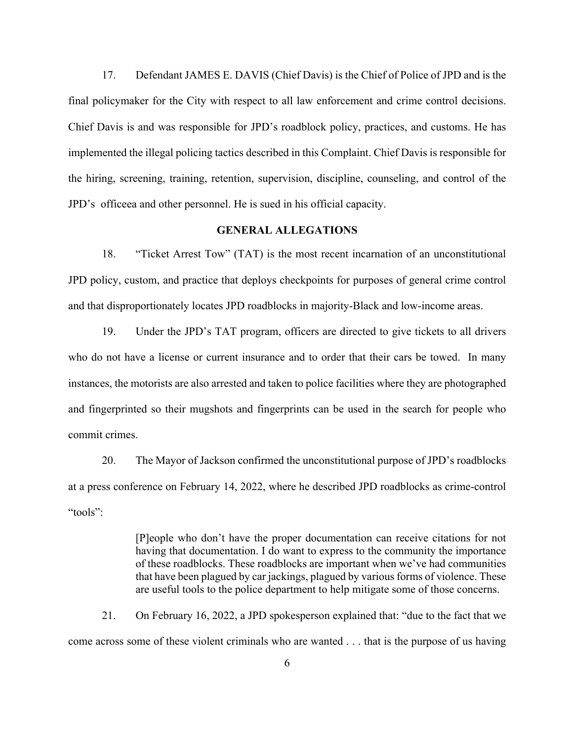17. Defendant JAMES E. DAVIS (Chief Davis) is the Chief of Police of JPD and is the final policymaker for the City with respect to all law enforcement and crime control decisions. Chief Davis is and was responsible for JPD's roadblock policy, practices, and customs. He has implemented the illegal policing tactics described in this Complaint. Chief Davis is responsible for the hiring, screening, training, retention, supervision, discipline, counseling, and control of the JPD's officeea and other personnel. He is sued in his official capacity.

#### **GENERAL ALLEGATIONS**

18. "Ticket Arrest Tow" (TAT) is the most recent incarnation of an unconstitutional JPD policy, custom, and practice that deploys checkpoints for purposes of general crime control and that disproportionately locates JPD roadblocks in majority-Black and low-income areas.

19. Under the JPD's TAT program, officers are directed to give tickets to all drivers who do not have a license or current insurance and to order that their cars be towed. In many instances, the motorists are also arrested and taken to police facilities where they are photographed and fingerprinted so their mugshots and fingerprints can be used in the search for people who commit crimes.

20. The Mayor of Jackson confirmed the unconstitutional purpose of JPD's roadblocks at a press conference on February 14, 2022, where he described JPD roadblocks as crime-control "tools":

> [P]eople who don't have the proper documentation can receive citations for not having that documentation. I do want to express to the community the importance of these roadblocks. These roadblocks are important when we've had communities that have been plagued by car jackings, plagued by various forms of violence. These are useful tools to the police department to help mitigate some of those concerns.

21. On February 16, 2022, a JPD spokesperson explained that: "due to the fact that we come across some of these violent criminals who are wanted . . . that is the purpose of us having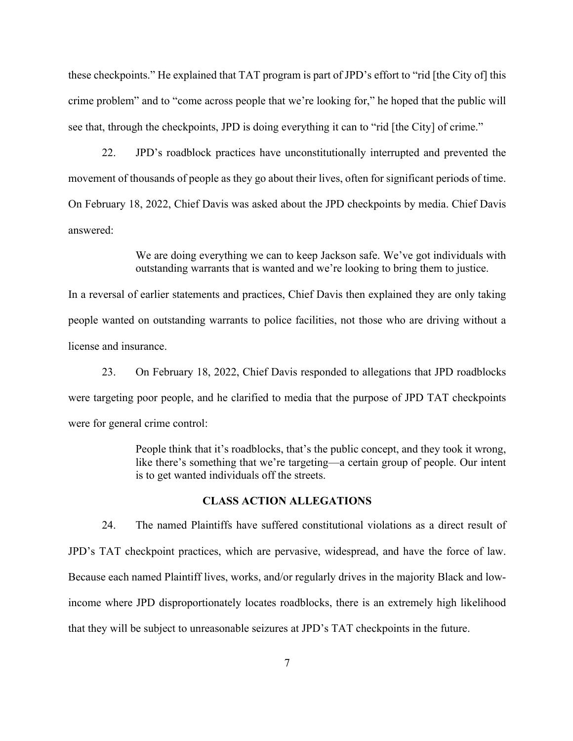these checkpoints." He explained that TAT program is part of JPD's effort to "rid [the City of] this crime problem" and to "come across people that we're looking for," he hoped that the public will see that, through the checkpoints, JPD is doing everything it can to "rid [the City] of crime."

22. JPD's roadblock practices have unconstitutionally interrupted and prevented the movement of thousands of people as they go about their lives, often for significant periods of time. On February 18, 2022, Chief Davis was asked about the JPD checkpoints by media. Chief Davis answered:

> We are doing everything we can to keep Jackson safe. We've got individuals with outstanding warrants that is wanted and we're looking to bring them to justice.

In a reversal of earlier statements and practices, Chief Davis then explained they are only taking people wanted on outstanding warrants to police facilities, not those who are driving without a license and insurance.

23. On February 18, 2022, Chief Davis responded to allegations that JPD roadblocks were targeting poor people, and he clarified to media that the purpose of JPD TAT checkpoints were for general crime control:

> People think that it's roadblocks, that's the public concept, and they took it wrong, like there's something that we're targeting—a certain group of people. Our intent is to get wanted individuals off the streets.

### **CLASS ACTION ALLEGATIONS**

24. The named Plaintiffs have suffered constitutional violations as a direct result of JPD's TAT checkpoint practices, which are pervasive, widespread, and have the force of law. Because each named Plaintiff lives, works, and/or regularly drives in the majority Black and lowincome where JPD disproportionately locates roadblocks, there is an extremely high likelihood that they will be subject to unreasonable seizures at JPD's TAT checkpoints in the future.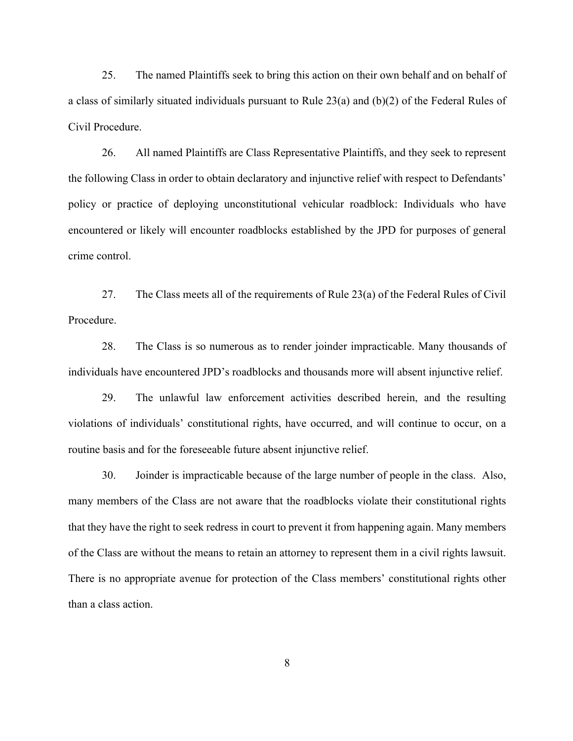25. The named Plaintiffs seek to bring this action on their own behalf and on behalf of a class of similarly situated individuals pursuant to Rule 23(a) and (b)(2) of the Federal Rules of Civil Procedure.

26. All named Plaintiffs are Class Representative Plaintiffs, and they seek to represent the following Class in order to obtain declaratory and injunctive relief with respect to Defendants' policy or practice of deploying unconstitutional vehicular roadblock: Individuals who have encountered or likely will encounter roadblocks established by the JPD for purposes of general crime control.

27. The Class meets all of the requirements of Rule 23(a) of the Federal Rules of Civil Procedure.

28. The Class is so numerous as to render joinder impracticable. Many thousands of individuals have encountered JPD's roadblocks and thousands more will absent injunctive relief.

29. The unlawful law enforcement activities described herein, and the resulting violations of individuals' constitutional rights, have occurred, and will continue to occur, on a routine basis and for the foreseeable future absent injunctive relief.

30. Joinder is impracticable because of the large number of people in the class. Also, many members of the Class are not aware that the roadblocks violate their constitutional rights that they have the right to seek redress in court to prevent it from happening again. Many members of the Class are without the means to retain an attorney to represent them in a civil rights lawsuit. There is no appropriate avenue for protection of the Class members' constitutional rights other than a class action.

8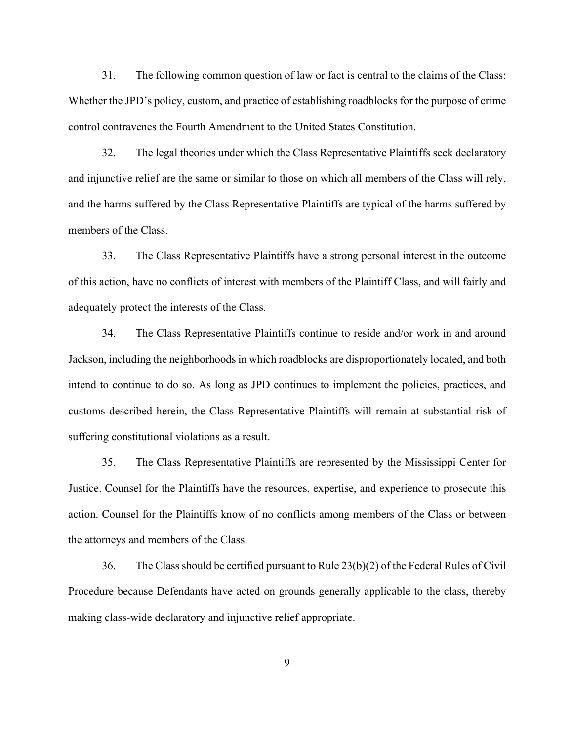31. The following common question of law or fact is central to the claims of the Class: Whether the JPD's policy, custom, and practice of establishing roadblocks for the purpose of crime control contravenes the Fourth Amendment to the United States Constitution.

32. The legal theories under which the Class Representative Plaintiffs seek declaratory and injunctive relief are the same or similar to those on which all members of the Class will rely, and the harms suffered by the Class Representative Plaintiffs are typical of the harms suffered by members of the Class.

33. The Class Representative Plaintiffs have a strong personal interest in the outcome of this action, have no conflicts of interest with members of the Plaintiff Class, and will fairly and adequately protect the interests of the Class.

34. The Class Representative Plaintiffs continue to reside and/or work in and around Jackson, including the neighborhoodsin which roadblocks are disproportionately located, and both intend to continue to do so. As long as JPD continues to implement the policies, practices, and customs described herein, the Class Representative Plaintiffs will remain at substantial risk of suffering constitutional violations as a result.

35. The Class Representative Plaintiffs are represented by the Mississippi Center for Justice. Counsel for the Plaintiffs have the resources, expertise, and experience to prosecute this action. Counsel for the Plaintiffs know of no conflicts among members of the Class or between the attorneys and members of the Class.

36. The Class should be certified pursuant to Rule 23(b)(2) of the Federal Rules of Civil Procedure because Defendants have acted on grounds generally applicable to the class, thereby making class-wide declaratory and injunctive relief appropriate.

9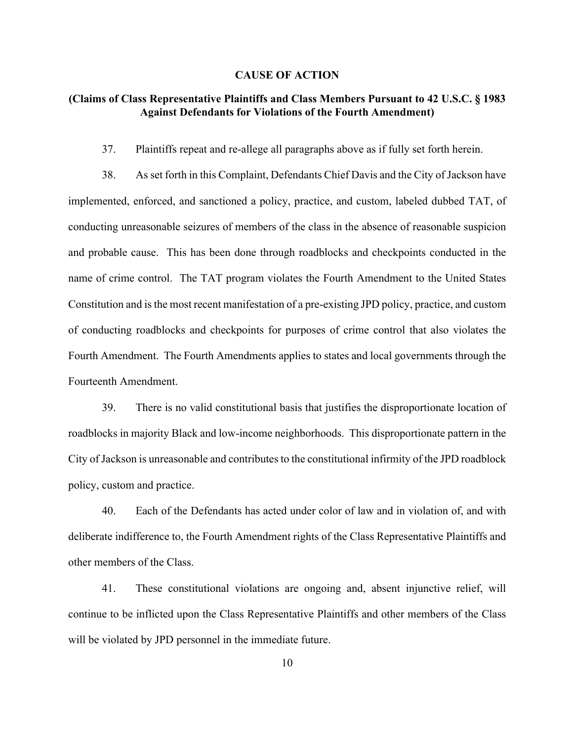#### **CAUSE OF ACTION**

## **(Claims of Class Representative Plaintiffs and Class Members Pursuant to 42 U.S.C. § 1983 Against Defendants for Violations of the Fourth Amendment)**

37. Plaintiffs repeat and re-allege all paragraphs above as if fully set forth herein.

38. As set forth in this Complaint, Defendants Chief Davis and the City of Jackson have implemented, enforced, and sanctioned a policy, practice, and custom, labeled dubbed TAT, of conducting unreasonable seizures of members of the class in the absence of reasonable suspicion and probable cause. This has been done through roadblocks and checkpoints conducted in the name of crime control. The TAT program violates the Fourth Amendment to the United States Constitution and is the most recent manifestation of a pre-existing JPD policy, practice, and custom of conducting roadblocks and checkpoints for purposes of crime control that also violates the Fourth Amendment. The Fourth Amendments applies to states and local governments through the Fourteenth Amendment.

39. There is no valid constitutional basis that justifies the disproportionate location of roadblocks in majority Black and low-income neighborhoods. This disproportionate pattern in the City of Jackson is unreasonable and contributes to the constitutional infirmity of the JPD roadblock policy, custom and practice.

40. Each of the Defendants has acted under color of law and in violation of, and with deliberate indifference to, the Fourth Amendment rights of the Class Representative Plaintiffs and other members of the Class.

41. These constitutional violations are ongoing and, absent injunctive relief, will continue to be inflicted upon the Class Representative Plaintiffs and other members of the Class will be violated by JPD personnel in the immediate future.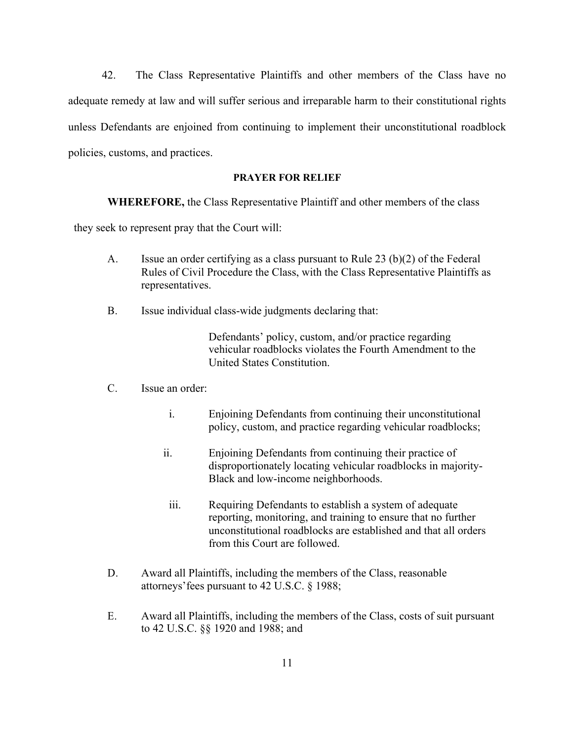42. The Class Representative Plaintiffs and other members of the Class have no adequate remedy at law and will suffer serious and irreparable harm to their constitutional rights unless Defendants are enjoined from continuing to implement their unconstitutional roadblock policies, customs, and practices.

#### **PRAYER FOR RELIEF**

**WHEREFORE,** the Class Representative Plaintiff and other members of the class

they seek to represent pray that the Court will:

- A. Issue an order certifying as a class pursuant to Rule 23 (b)(2) of the Federal Rules of Civil Procedure the Class, with the Class Representative Plaintiffs as representatives.
- B. Issue individual class-wide judgments declaring that:

Defendants' policy, custom, and/or practice regarding vehicular roadblocks violates the Fourth Amendment to the United States Constitution.

- C. Issue an order:
	- i. Enjoining Defendants from continuing their unconstitutional policy, custom, and practice regarding vehicular roadblocks;
	- ii. Enjoining Defendants from continuing their practice of disproportionately locating vehicular roadblocks in majority-Black and low-income neighborhoods.
	- iii. Requiring Defendants to establish a system of adequate reporting, monitoring, and training to ensure that no further unconstitutional roadblocks are established and that all orders from this Court are followed.
- D. Award all Plaintiffs, including the members of the Class, reasonable attorneys'fees pursuant to 42 U.S.C. § 1988;
- E. Award all Plaintiffs, including the members of the Class, costs of suit pursuant to 42 U.S.C. §§ 1920 and 1988; and